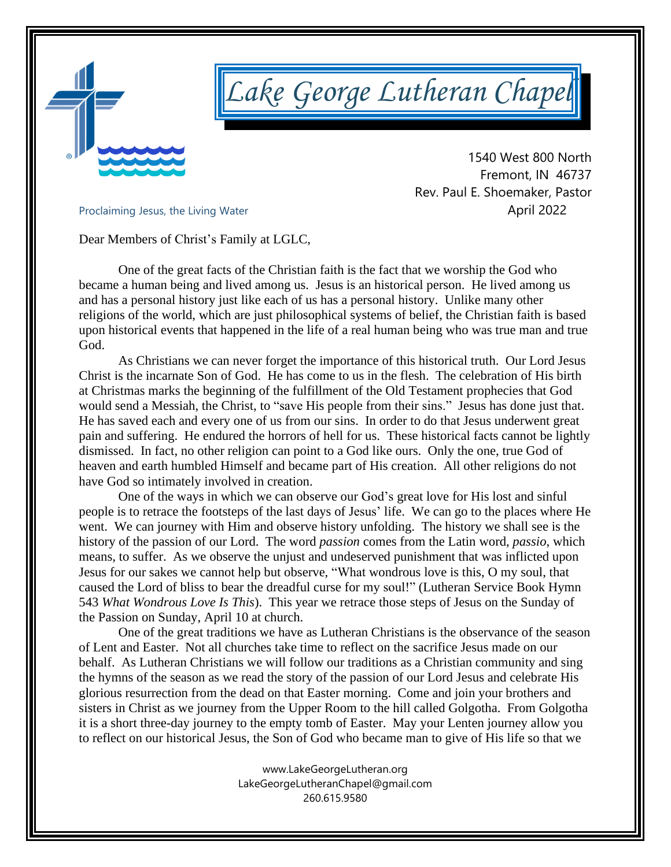

# *Lake George Lutheran Chapel*

 1540 West 800 North Fremont, IN 46737 Rev. Paul E. Shoemaker, Pastor Proclaiming Jesus, the Living Water<br> **April 2022** 

Dear Members of Christ's Family at LGLC,

One of the great facts of the Christian faith is the fact that we worship the God who became a human being and lived among us. Jesus is an historical person. He lived among us and has a personal history just like each of us has a personal history. Unlike many other religions of the world, which are just philosophical systems of belief, the Christian faith is based upon historical events that happened in the life of a real human being who was true man and true God.

As Christians we can never forget the importance of this historical truth. Our Lord Jesus Christ is the incarnate Son of God. He has come to us in the flesh. The celebration of His birth at Christmas marks the beginning of the fulfillment of the Old Testament prophecies that God would send a Messiah, the Christ, to "save His people from their sins." Jesus has done just that. He has saved each and every one of us from our sins. In order to do that Jesus underwent great pain and suffering. He endured the horrors of hell for us. These historical facts cannot be lightly dismissed. In fact, no other religion can point to a God like ours. Only the one, true God of heaven and earth humbled Himself and became part of His creation. All other religions do not have God so intimately involved in creation.

One of the ways in which we can observe our God's great love for His lost and sinful people is to retrace the footsteps of the last days of Jesus' life. We can go to the places where He went. We can journey with Him and observe history unfolding. The history we shall see is the history of the passion of our Lord. The word *passion* comes from the Latin word, *passio*, which means, to suffer. As we observe the unjust and undeserved punishment that was inflicted upon Jesus for our sakes we cannot help but observe, "What wondrous love is this, O my soul, that caused the Lord of bliss to bear the dreadful curse for my soul!" (Lutheran Service Book Hymn 543 *What Wondrous Love Is This*). This year we retrace those steps of Jesus on the Sunday of the Passion on Sunday, April 10 at church.

One of the great traditions we have as Lutheran Christians is the observance of the season of Lent and Easter. Not all churches take time to reflect on the sacrifice Jesus made on our behalf. As Lutheran Christians we will follow our traditions as a Christian community and sing the hymns of the season as we read the story of the passion of our Lord Jesus and celebrate His glorious resurrection from the dead on that Easter morning. Come and join your brothers and sisters in Christ as we journey from the Upper Room to the hill called Golgotha. From Golgotha it is a short three-day journey to the empty tomb of Easter. May your Lenten journey allow you to reflect on our historical Jesus, the Son of God who became man to give of His life so that we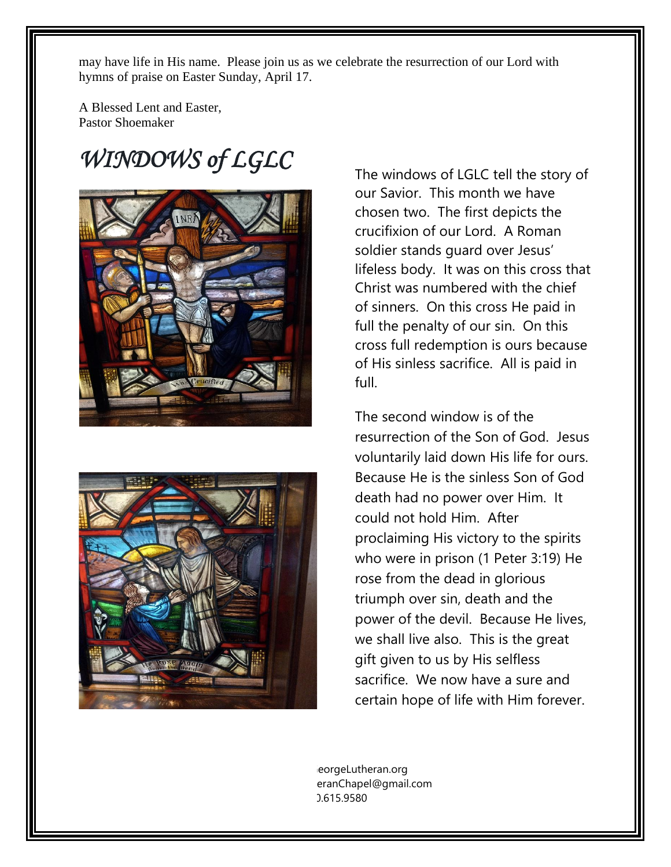may have life in His name. Please join us as we celebrate the resurrection of our Lord with hymns of praise on Easter Sunday, April 17.

A Blessed Lent and Easter, Pastor Shoemaker

# *WINDOWS of LGLC*





The windows of LGLC tell the story of our Savior. This month we have chosen two. The first depicts the crucifixion of our Lord. A Roman soldier stands guard over Jesus' lifeless body. It was on this cross that Christ was numbered with the chief of sinners. On this cross He paid in full the penalty of our sin. On this cross full redemption is ours because of His sinless sacrifice. All is paid in full.

The second window is of the resurrection of the Son of God. Jesus voluntarily laid down His life for ours. Because He is the sinless Son of God death had no power over Him. It could not hold Him. After proclaiming His victory to the spirits who were in prison (1 Peter 3:19) He rose from the dead in glorious triumph over sin, death and the power of the devil. Because He lives, we shall live also. This is the great gift given to us by His selfless sacrifice. We now have a sure and certain hope of life with Him forever.

eorgeLutheran.org eranChapel@gmail.com 260.615.9580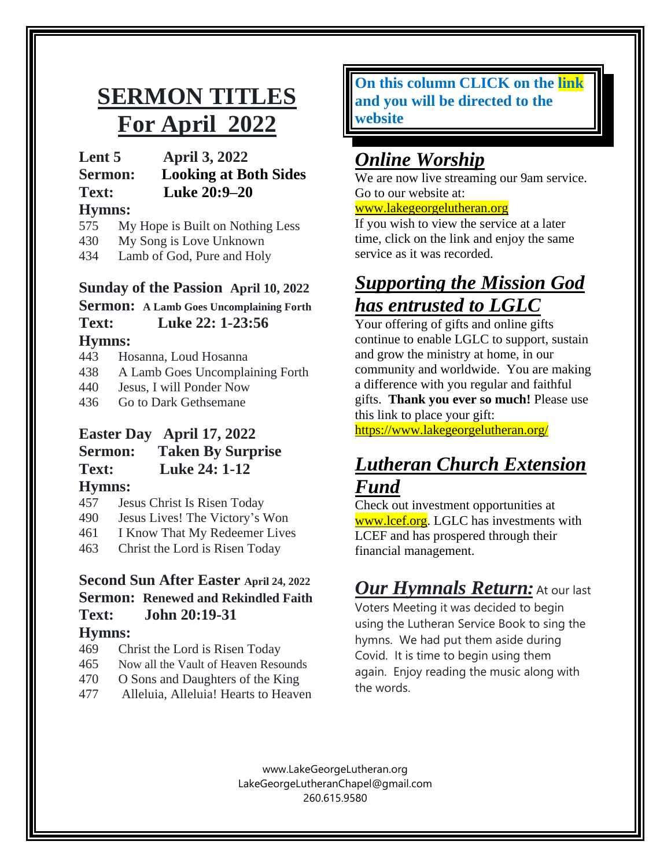# **SERMON TITLES For April 2022**

**Lent 5 April 3, 2022**

**Sermon: Looking at Both Sides Text: Luke 20:9–20**

#### **Hymns:**

- 575 My Hope is Built on Nothing Less
- 430 My Song is Love Unknown
- 434 Lamb of God, Pure and Holy

#### **Sunday of the Passion April 10, 2022**

**Sermon: A Lamb Goes Uncomplaining Forth** 

#### **Text: Luke 22: 1-23:56 Hymns:**

- 443 Hosanna, Loud Hosanna
- 438 A Lamb Goes Uncomplaining Forth
- 440 Jesus, I will Ponder Now
- 436 Go to Dark Gethsemane

#### **Easter Day April 17, 2022**

#### **Sermon: Taken By Surprise Text: Luke 24: 1-12 Hymns:**

- 457 Jesus Christ Is Risen Today
- 490 Jesus Lives! The Victory's Won
- 461 I Know That My Redeemer Lives
- 463 Christ the Lord is Risen Today

### **Second Sun After Easter April 24, 2022 Sermon: Renewed and Rekindled Faith Text: John 20:19-31**

#### **Hymns:**

- 469 Christ the Lord is Risen Today
- 465 Now all the Vault of Heaven Resounds
- 470 O Sons and Daughters of the King
- 477 Alleluia, Alleluia! Hearts to Heaven

#### **On this column CLICK on the link and you will be directed to the website**

# *Online Worship*

We are now live streaming our 9am service. Go to our website at:

#### [www.lakegeorgelutheran.org](http://www.lakegeorgelutheran.org/)

If you wish to view the service at a later time, click on the link and enjoy the same service as it was recorded.

# *Supporting the Mission God has entrusted to LGLC*

Your offering of gifts and online gifts continue to enable LGLC to support, sustain and grow the ministry at home, in our community and worldwide. You are making a difference with you regular and faithful gifts. **Thank you ever so much!** Please use this link to place your gift:

<https://www.lakegeorgelutheran.org/>

## *Lutheran Church Extension Fund*

Check out investment opportunities at [www.lcef.org.](http://www.lcef.org/) LGLC has investments with LCEF and has prospered through their financial management.

# *Our Hymnals Return:* At our last

Voters Meeting it was decided to begin using the Lutheran Service Book to sing the hymns. We had put them aside during Covid. It is time to begin using them again. Enjoy reading the music along with the words.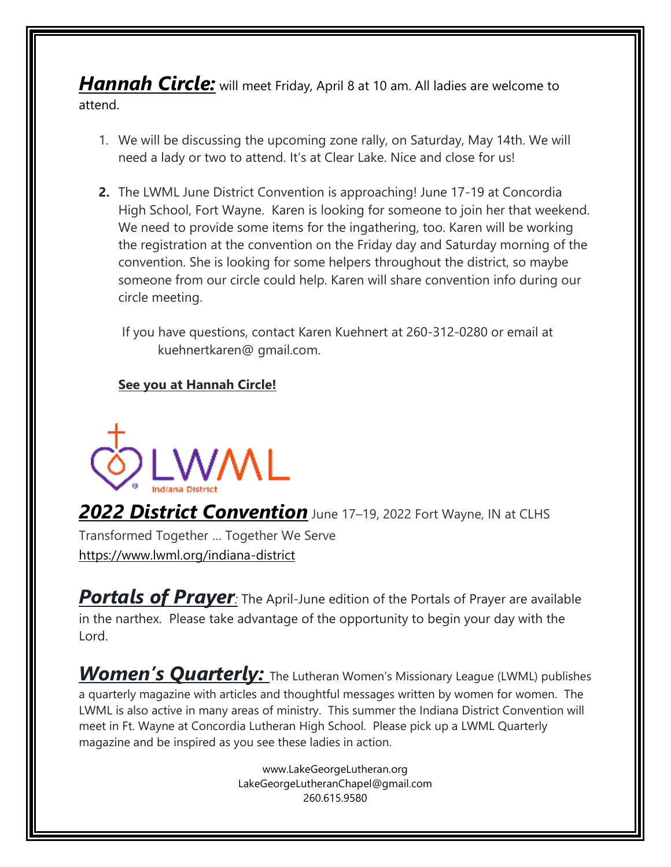*Hannah Circle:* will meet Friday, April <sup>8</sup> at <sup>10</sup> am. All ladies are welcome to attend.

- 1. We will be discussing the upcoming zone rally, on Saturday, May 14th. We will need a lady or two to attend. It's at Clear Lake. Nice and close for us!
- **2.** The LWML June District Convention is approaching! June 17-19 at Concordia High School, Fort Wayne. Karen is looking for someone to join her that weekend. We need to provide some items for the ingathering, too. Karen will be working the registration at the convention on the Friday day and Saturday morning of the convention. She is looking for some helpers throughout the district, so maybe someone from our circle could help. Karen will share convention info during our circle meeting.

 If you have questions, contact Karen Kuehnert at 260-312-0280 or email at kuehnertkaren@ gmail.com.

#### **See you at Hannah Circle!**



*2022 District Convention* June <sup>17</sup>–19, <sup>2022</sup> Fort Wayne, IN at CLHS Transformed Together … Together We Serve <https://www.lwml.org/indiana-district>

**Portals of Prayer**: The April-June edition of the Portals of Prayer are available in the narthex. Please take advantage of the opportunity to begin your day with the Lord.

*Women's Quarterly:* The Lutheran Women's Missionary League (LWML) publishes a quarterly magazine with articles and thoughtful messages written by women for women. The LWML is also active in many areas of ministry. This summer the Indiana District Convention will meet in Ft. Wayne at Concordia Lutheran High School. Please pick up a LWML Quarterly magazine and be inspired as you see these ladies in action.